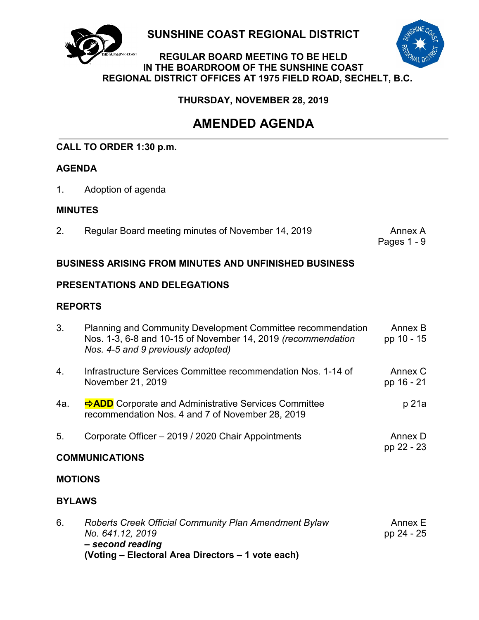

**SUNSHINE COAST REGIONAL DISTRICT**



#### **REGULAR BOARD MEETING TO BE HELD IN THE BOARDROOM OF THE SUNSHINE COAST REGIONAL DISTRICT OFFICES AT 1975 FIELD ROAD, SECHELT, B.C.**

**THURSDAY, NOVEMBER 28, 2019**

# **AMENDED AGENDA**

## **CALL TO ORDER 1:30 p.m.**

## **AGENDA**

1. Adoption of agenda

## **MINUTES**

2. Regular Board meeting minutes of November 14, 2019 **Annex A** 

Pages 1 - 9

## **BUSINESS ARISING FROM MINUTES AND UNFINISHED BUSINESS**

## **PRESENTATIONS AND DELEGATIONS**

## **REPORTS**

| 3.             | Planning and Community Development Committee recommendation<br>Nos. 1-3, 6-8 and 10-15 of November 14, 2019 (recommendation<br>Nos. 4-5 and 9 previously adopted) | Annex B<br>pp 10 - 15 |  |
|----------------|-------------------------------------------------------------------------------------------------------------------------------------------------------------------|-----------------------|--|
| 4.             | Infrastructure Services Committee recommendation Nos. 1-14 of<br>November 21, 2019                                                                                | Annex C<br>pp 16 - 21 |  |
| 4a.            | ADD Corporate and Administrative Services Committee<br>recommendation Nos. 4 and 7 of November 28, 2019                                                           | p 21a                 |  |
| 5.             | Corporate Officer - 2019 / 2020 Chair Appointments                                                                                                                | Annex D               |  |
|                | <b>COMMUNICATIONS</b>                                                                                                                                             | pp 22 - 23            |  |
| <b>MOTIONS</b> |                                                                                                                                                                   |                       |  |
| <b>BYLAWS</b>  |                                                                                                                                                                   |                       |  |
| 6.             | Roberts Creek Official Community Plan Amendment Bylaw<br>No. 641.12, 2019<br>- second reading                                                                     | Annex E<br>pp 24 - 25 |  |

**(Voting – Electoral Area Directors – 1 vote each)**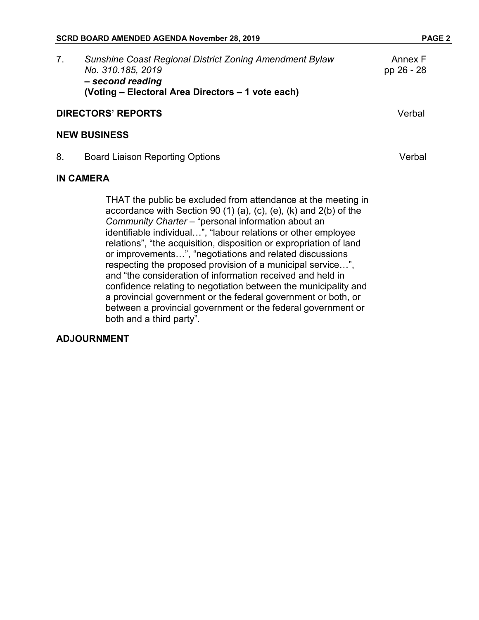| Sunshine Coast Regional District Zoning Amendment Bylaw<br>No. 310.185, 2019<br>- second reading<br>(Voting – Electoral Area Directors – 1 vote each) | Annex F<br>pp 26 - 28 |
|-------------------------------------------------------------------------------------------------------------------------------------------------------|-----------------------|
| <b>DIRECTORS' REPORTS</b>                                                                                                                             | Verbal                |

#### **NEW BUSINESS**

8. Board Liaison Reporting Options **Verbal** 

#### **IN CAMERA**

THAT the public be excluded from attendance at the meeting in accordance with Section 90 (1) (a), (c), (e), (k) and 2(b) of the *Community Charter* – "personal information about an identifiable individual…", "labour relations or other employee relations", "the acquisition, disposition or expropriation of land or improvements…", "negotiations and related discussions respecting the proposed provision of a municipal service…", and "the consideration of information received and held in confidence relating to negotiation between the municipality and a provincial government or the federal government or both, or between a provincial government or the federal government or both and a third party".

#### **ADJOURNMENT**